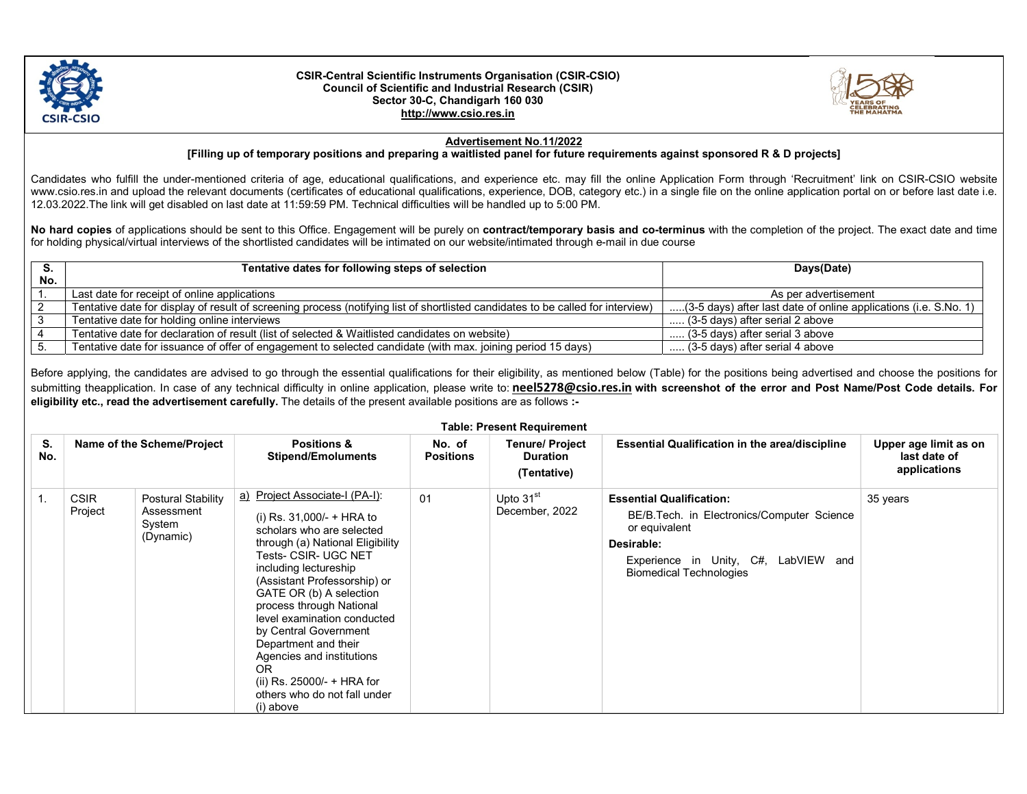

## CSIR-Central Scientific Instruments Organisation (CSIR-CSIO) Council of Scientific and Industrial Research (CSIR) Sector 30-C, Chandigarh 160 030 http://www.csio.res.in



## Advertisement No.11/2022

[Filling up of temporary positions and preparing a waitlisted panel for future requirements against sponsored R & D projects]

Candidates who fulfill the under-mentioned criteria of age, educational qualifications, and experience etc. may fill the online Application Form through 'Recruitment' link on CSIR-CSIO website www.csio.res.in and upload the relevant documents (certificates of educational qualifications, experience, DOB, category etc.) in a single file on the online application portal on or before last date i.e. 12.03.2022.The link will get disabled on last date at 11:59:59 PM. Technical difficulties will be handled up to 5:00 PM.

No hard copies of applications should be sent to this Office. Engagement will be purely on contract/temporary basis and co-terminus with the completion of the project. The exact date and time for holding physical/virtual interviews of the shortlisted candidates will be intimated on our website/intimated through e-mail in due course

| э.  | Tentative dates for following steps of selection                                                                                | Days(Date)                                                       |  |
|-----|---------------------------------------------------------------------------------------------------------------------------------|------------------------------------------------------------------|--|
| No. |                                                                                                                                 |                                                                  |  |
|     | Last date for receipt of online applications                                                                                    | As per advertisement                                             |  |
|     | Tentative date for display of result of screening process (notifying list of shortlisted candidates to be called for interview) | (3-5 days) after last date of online applications (i.e. S.No. 1) |  |
|     | Tentative date for holding online interviews                                                                                    | $\ldots$ (3-5 days) after serial 2 above                         |  |
|     | Tentative date for declaration of result (list of selected & Waitlisted candidates on website)                                  | (3-5 days) after serial 3 above                                  |  |
|     | Tentative date for issuance of offer of engagement to selected candidate (with max. joining period 15 days)                     | (3-5 days) after serial 4 above                                  |  |

Before applying, the candidates are advised to go through the essential qualifications for their eligibility, as mentioned below (Table) for the positions being advertised and choose the positions for submitting theapplication. In case of any technical difficulty in online application, please write to: neel5278@csio.res.in with screenshot of the error and Post Name/Post Code details. For eligibility etc., read the advertisement carefully. The details of the present available positions are as follows :-

| <b>Table: Present Requirement</b> |                        |                                                                |                                                                                                                                                                                                                                                                                                                                                                                                                                                                        |                            |                                                          |                                                                                                                                                                                        |                                                       |  |
|-----------------------------------|------------------------|----------------------------------------------------------------|------------------------------------------------------------------------------------------------------------------------------------------------------------------------------------------------------------------------------------------------------------------------------------------------------------------------------------------------------------------------------------------------------------------------------------------------------------------------|----------------------------|----------------------------------------------------------|----------------------------------------------------------------------------------------------------------------------------------------------------------------------------------------|-------------------------------------------------------|--|
| S.<br>No.                         |                        | Name of the Scheme/Project                                     | <b>Positions &amp;</b><br><b>Stipend/Emoluments</b>                                                                                                                                                                                                                                                                                                                                                                                                                    | No. of<br><b>Positions</b> | <b>Tenure/ Project</b><br><b>Duration</b><br>(Tentative) | <b>Essential Qualification in the area/discipline</b>                                                                                                                                  | Upper age limit as on<br>last date of<br>applications |  |
|                                   | <b>CSIR</b><br>Project | <b>Postural Stability</b><br>Assessment<br>System<br>(Dynamic) | a) Project Associate-I (PA-I):<br>(i) Rs. $31,000/- + HRA$ to<br>scholars who are selected<br>through (a) National Eligibility<br>Tests- CSIR- UGC NET<br>including lectureship<br>(Assistant Professorship) or<br>GATE OR (b) A selection<br>process through National<br>level examination conducted<br>by Central Government<br>Department and their<br>Agencies and institutions<br>0R<br>(ii) $Rs. 25000/- + HRA$ for<br>others who do not fall under<br>(i) above | 01                         | Upto 31 <sup>st</sup><br>December, 2022                  | <b>Essential Qualification:</b><br>BE/B.Tech. in Electronics/Computer Science<br>or equivalent<br>Desirable:<br>Experience in Unity, C#, LabVIEW and<br><b>Biomedical Technologies</b> | 35 years                                              |  |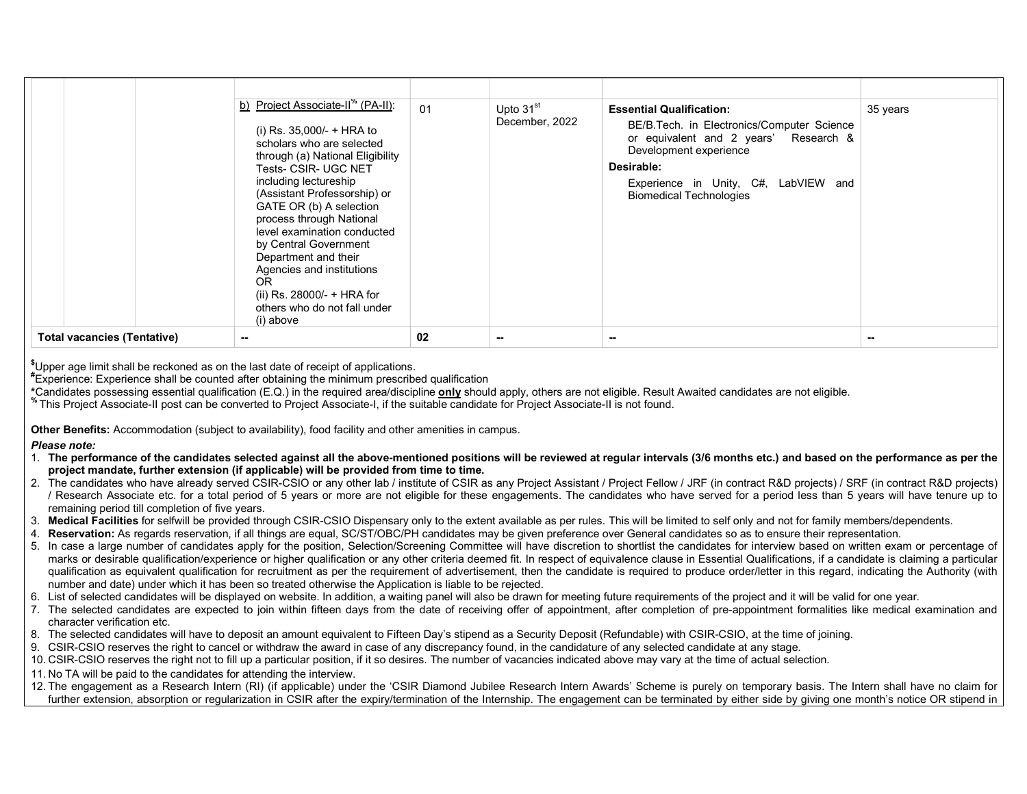|                                    | b) Project Associate-II <sup>*</sup> (PA-II):<br>(i) Rs. 35,000/- + HRA to<br>scholars who are selected<br>through (a) National Eligibility<br><b>Tests- CSIR- UGC NET</b><br>including lectureship<br>(Assistant Professorship) or<br>GATE OR (b) A selection<br>process through National<br>level examination conducted<br>by Central Government<br>Department and their<br>Agencies and institutions<br>OR.<br>(ii) Rs. 28000/- $+$ HRA for<br>others who do not fall under<br>(i) above | 01 | Upto $31st$<br>December, 2022 | <b>Essential Qualification:</b><br>BE/B. Tech. in Electronics/Computer Science<br>or equivalent and 2 years' Research &<br>Development experience<br>Desirable:<br>Experience in Unity, C#, LabVIEW and<br><b>Biomedical Technologies</b> | 35 years |
|------------------------------------|---------------------------------------------------------------------------------------------------------------------------------------------------------------------------------------------------------------------------------------------------------------------------------------------------------------------------------------------------------------------------------------------------------------------------------------------------------------------------------------------|----|-------------------------------|-------------------------------------------------------------------------------------------------------------------------------------------------------------------------------------------------------------------------------------------|----------|
| <b>Total vacancies (Tentative)</b> | $\sim$                                                                                                                                                                                                                                                                                                                                                                                                                                                                                      | 02 |                               |                                                                                                                                                                                                                                           | --       |

\$Upper age limit shall be reckoned as on the last date of receipt of applications.

#Experience: Experience shall be counted after obtaining the minimum prescribed qualification

\*Candidates possessing essential qualification (E.Q.) in the required area/discipline only should apply, others are not eligible. Result Awaited candidates are not eligible.

% This Project Associate-II post can be converted to Project Associate-I, if the suitable candidate for Project Associate-II is not found.

Other Benefits: Accommodation (subject to availability), food facility and other amenities in campus.

Please note:

- 1. The performance of the candidates selected against all the above-mentioned positions will be reviewed at regular intervals (3/6 months etc.) and based on the performance as per the project mandate, further extension (if applicable) will be provided from time to time.
- 2. The candidates who have already served CSIR-CSIO or any other lab / institute of CSIR as any Project Assistant / Project Fellow / JRF (in contract R&D projects) / SRF (in contract R&D projects) / Research Associate etc. for a total period of 5 years or more are not eligible for these engagements. The candidates who have served for a period less than 5 years will have tenure up to remaining period till completion of five years.
- 3. Medical Facilities for selfwill be provided through CSIR-CSIO Dispensary only to the extent available as per rules. This will be limited to self only and not for family members/dependents.
- 4. Reservation: As regards reservation, if all things are equal, SC/ST/OBC/PH candidates may be given preference over General candidates so as to ensure their representation.
- 5. In case a large number of candidates apply for the position, Selection/Screening Committee will have discretion to shortlist the candidates for interview based on written exam or percentage of marks or desirable qualification/experience or higher qualification or any other criteria deemed fit. In respect of equivalence clause in Essential Qualifications, if a candidate is claiming a particular qualification as equivalent qualification for recruitment as per the requirement of advertisement, then the candidate is required to produce order/letter in this regard, indicating the Authority (with number and date) under which it has been so treated otherwise the Application is liable to be rejected.
- 6. List of selected candidates will be displayed on website. In addition, a waiting panel will also be drawn for meeting future requirements of the project and it will be valid for one year.
- 7. The selected candidates are expected to join within fifteen days from the date of receiving offer of appointment, after completion of pre-appointment formalities like medical examination and character verification etc.
- 8. The selected candidates will have to deposit an amount equivalent to Fifteen Day's stipend as a Security Deposit (Refundable) with CSIR-CSIO, at the time of joining.
- 9. CSIR-CSIO reserves the right to cancel or withdraw the award in case of any discrepancy found, in the candidature of any selected candidate at any stage.
- 10. CSIR-CSIO reserves the right not to fill up a particular position, if it so desires. The number of vacancies indicated above may vary at the time of actual selection.
- 11. No TA will be paid to the candidates for attending the interview.

12. The engagement as a Research Intern (RI) (if applicable) under the 'CSIR Diamond Jubilee Research Intern Awards' Scheme is purely on temporary basis. The Intern shall have no claim for further extension, absorption or regularization in CSIR after the expiry/termination of the Internship. The engagement can be terminated by either side by giving one month's notice OR stipend in